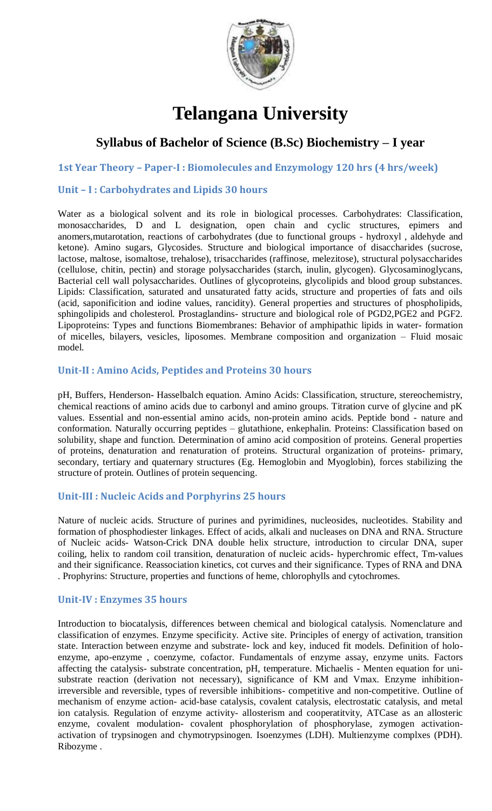

# **Telangana University**

# **Syllabus of Bachelor of Science (B.Sc) Biochemistry – I year**

**1st Year Theory – Paper-I : Biomolecules and Enzymology 120 hrs (4 hrs/week)**

#### **Unit – I : Carbohydrates and Lipids 30 hours**

Water as a biological solvent and its role in biological processes. Carbohydrates: Classification, monosaccharides, D and L designation, open chain and cyclic structures, epimers and anomers,mutarotation, reactions of carbohydrates (due to functional groups - hydroxyl , aldehyde and ketone). Amino sugars, Glycosides. Structure and biological importance of disaccharides (sucrose, lactose, maltose, isomaltose, trehalose), trisaccharides (raffinose, melezitose), structural polysaccharides (cellulose, chitin, pectin) and storage polysaccharides (starch, inulin, glycogen). Glycosaminoglycans, Bacterial cell wall polysaccharides. Outlines of glycoproteins, glycolipids and blood group substances. Lipids: Classification, saturated and unsaturated fatty acids, structure and properties of fats and oils (acid, saponificition and iodine values, rancidity). General properties and structures of phospholipids, sphingolipids and cholesterol. Prostaglandins- structure and biological role of PGD2,PGE2 and PGF2. Lipoproteins: Types and functions Biomembranes: Behavior of amphipathic lipids in water- formation of micelles, bilayers, vesicles, liposomes. Membrane composition and organization – Fluid mosaic model.

#### **Unit-II : Amino Acids, Peptides and Proteins 30 hours**

pH, Buffers, Henderson- Hasselbalch equation. Amino Acids: Classification, structure, stereochemistry, chemical reactions of amino acids due to carbonyl and amino groups. Titration curve of glycine and pK values. Essential and non-essential amino acids, non-protein amino acids. Peptide bond - nature and conformation. Naturally occurring peptides – glutathione, enkephalin. Proteins: Classification based on solubility, shape and function. Determination of amino acid composition of proteins. General properties of proteins, denaturation and renaturation of proteins. Structural organization of proteins- primary, secondary, tertiary and quaternary structures (Eg. Hemoglobin and Myoglobin), forces stabilizing the structure of protein. Outlines of protein sequencing.

#### **Unit-III : Nucleic Acids and Porphyrins 25 hours**

Nature of nucleic acids. Structure of purines and pyrimidines, nucleosides, nucleotides. Stability and formation of phosphodiester linkages. Effect of acids, alkali and nucleases on DNA and RNA. Structure of Nucleic acids- Watson-Crick DNA double helix structure, introduction to circular DNA, super coiling, helix to random coil transition, denaturation of nucleic acids- hyperchromic effect, Tm-values and their significance. Reassociation kinetics, cot curves and their significance. Types of RNA and DNA . Prophyrins: Structure, properties and functions of heme, chlorophylls and cytochromes.

#### **Unit-IV : Enzymes 35 hours**

Introduction to biocatalysis, differences between chemical and biological catalysis. Nomenclature and classification of enzymes. Enzyme specificity. Active site. Principles of energy of activation, transition state. Interaction between enzyme and substrate- lock and key, induced fit models. Definition of holoenzyme, apo-enzyme , coenzyme, cofactor. Fundamentals of enzyme assay, enzyme units. Factors affecting the catalysis- substrate concentration, pH, temperature. Michaelis - Menten equation for unisubstrate reaction (derivation not necessary), significance of KM and Vmax. Enzyme inhibitionirreversible and reversible, types of reversible inhibitions- competitive and non-competitive. Outline of mechanism of enzyme action- acid-base catalysis, covalent catalysis, electrostatic catalysis, and metal ion catalysis. Regulation of enzyme activity- allosterism and cooperatitvity, ATCase as an allosteric enzyme, covalent modulation- covalent phosphorylation of phosphorylase, zymogen activationactivation of trypsinogen and chymotrypsinogen. Isoenzymes (LDH). Multienzyme complxes (PDH). Ribozyme .